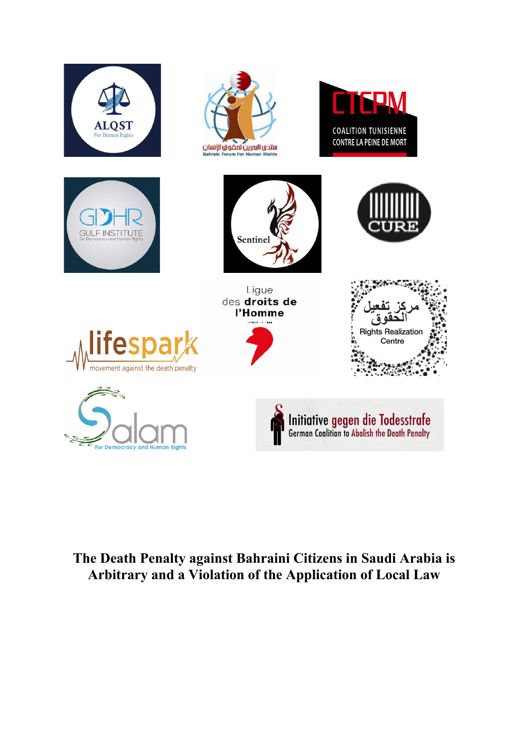

# **The Death Penalty against Bahraini Citizens in Saudi Arabia is Arbitrary and a Violation of the Application of Local Law**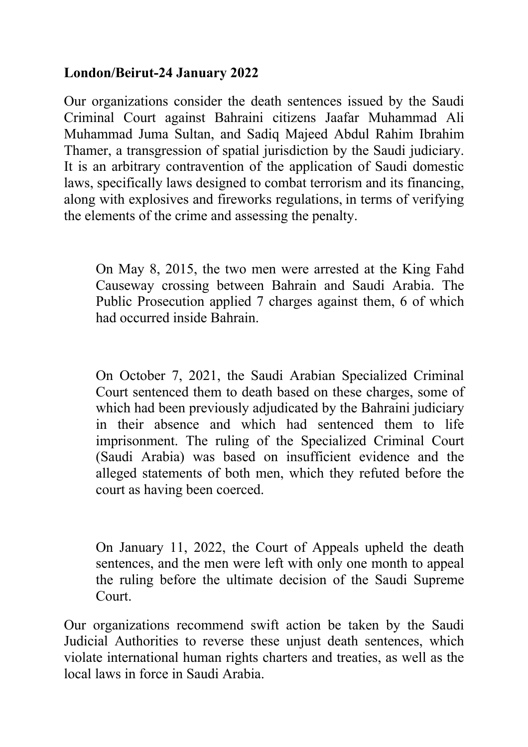### **London/Beirut-24 January 2022**

Our organizations consider the death sentences issued by the Saudi Criminal Court against Bahraini citizens Jaafar Muhammad Ali Muhammad Juma Sultan, and Sadiq Majeed Abdul Rahim Ibrahim Thamer, a transgression of spatial jurisdiction by the Saudi judiciary. It is an arbitrary contravention of the application of Saudi domestic laws, specifically laws designed to combat terrorism and its financing, along with explosives and fireworks regulations, in terms of verifying the elements of the crime and assessing the penalty.

On May 8, 2015, the two men were arrested at the King Fahd Causeway crossing between Bahrain and Saudi Arabia. The Public Prosecution applied 7 charges against them, 6 of which had occurred inside Bahrain.

On October 7, 2021, the Saudi Arabian Specialized Criminal Court sentenced them to death based on these charges, some of which had been previously adjudicated by the Bahraini judiciary in their absence and which had sentenced them to life imprisonment. The ruling of the Specialized Criminal Court (Saudi Arabia) was based on insufficient evidence and the alleged statements of both men, which they refuted before the court as having been coerced.

On January 11, 2022, the Court of Appeals upheld the death sentences, and the men were left with only one month to appeal the ruling before the ultimate decision of the Saudi Supreme Court.

Our organizations recommend swift action be taken by the Saudi Judicial Authorities to reverse these unjust death sentences, which violate international human rights charters and treaties, as well as the local laws in force in Saudi Arabia.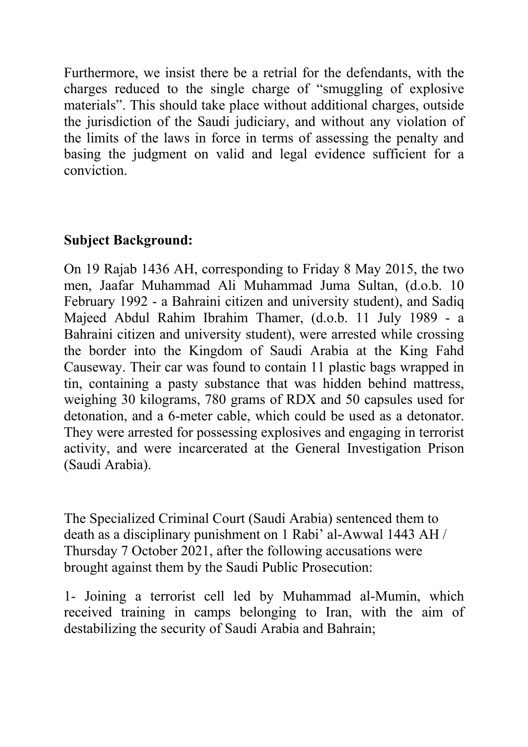Furthermore, we insist there be a retrial for the defendants, with the charges reduced to the single charge of "smuggling of explosive materials". This should take place without additional charges, outside the jurisdiction of the Saudi judiciary, and without any violation of the limits of the laws in force in terms of assessing the penalty and basing the judgment on valid and legal evidence sufficient for a conviction.

# **Subject Background:**

On 19 Rajab 1436 AH, corresponding to Friday 8 May 2015, the two men, Jaafar Muhammad Ali Muhammad Juma Sultan, (d.o.b. 10 February 1992 - a Bahraini citizen and university student), and Sadiq Majeed Abdul Rahim Ibrahim Thamer, (d.o.b. 11 July 1989 - a Bahraini citizen and university student), were arrested while crossing the border into the Kingdom of Saudi Arabia at the King Fahd Causeway. Their car was found to contain 11 plastic bags wrapped in tin, containing a pasty substance that was hidden behind mattress, weighing 30 kilograms, 780 grams of RDX and 50 capsules used for detonation, and a 6-meter cable, which could be used as a detonator. They were arrested for possessing explosives and engaging in terrorist activity, and were incarcerated at the General Investigation Prison (Saudi Arabia).

The Specialized Criminal Court (Saudi Arabia) sentenced them to death as a disciplinary punishment on 1 Rabi' al-Awwal 1443 AH / Thursday 7 October 2021, after the following accusations were brought against them by the Saudi Public Prosecution:

1- Joining a terrorist cell led by Muhammad al-Mumin, which received training in camps belonging to Iran, with the aim of destabilizing the security of Saudi Arabia and Bahrain;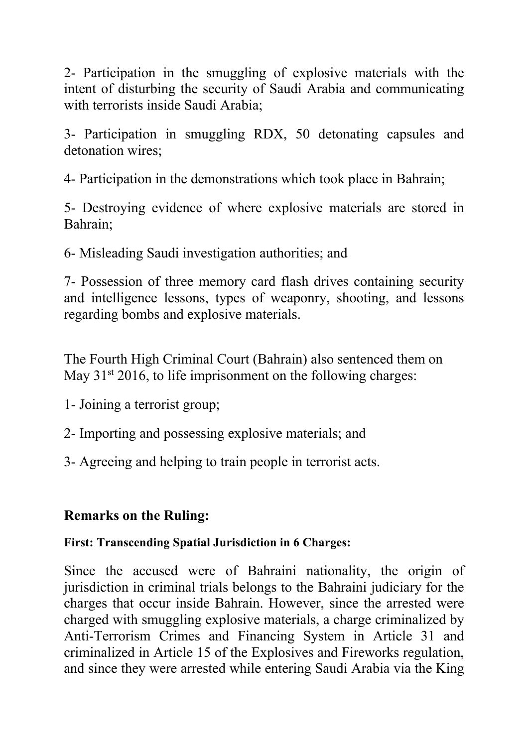2- Participation in the smuggling of explosive materials with the intent of disturbing the security of Saudi Arabia and communicating with terrorists inside Saudi Arabia;

3- Participation in smuggling RDX, 50 detonating capsules and detonation wires;

4- Participation in the demonstrations which took place in Bahrain;

5- Destroying evidence of where explosive materials are stored in Bahrain;

6- Misleading Saudi investigation authorities; and

7- Possession of three memory card flash drives containing security and intelligence lessons, types of weaponry, shooting, and lessons regarding bombs and explosive materials.

The Fourth High Criminal Court (Bahrain) also sentenced them on May  $31<sup>st</sup> 2016$ , to life imprisonment on the following charges:

1- Joining a terrorist group;

2- Importing and possessing explosive materials; and

3- Agreeing and helping to train people in terrorist acts.

# **Remarks on the Ruling:**

### **First: Transcending Spatial Jurisdiction in 6 Charges:**

Since the accused were of Bahraini nationality, the origin of jurisdiction in criminal trials belongs to the Bahraini judiciary for the charges that occur inside Bahrain. However, since the arrested were charged with smuggling explosive materials, a charge criminalized by Anti-Terrorism Crimes and Financing System in Article 31 and criminalized in Article 15 of the Explosives and Fireworks regulation, and since they were arrested while entering Saudi Arabia via the King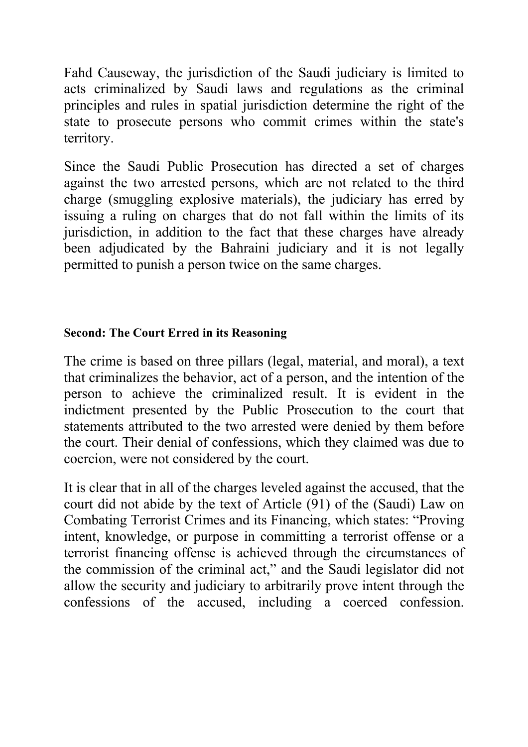Fahd Causeway, the jurisdiction of the Saudi judiciary is limited to acts criminalized by Saudi laws and regulations as the criminal principles and rules in spatial jurisdiction determine the right of the state to prosecute persons who commit crimes within the state's territory.

Since the Saudi Public Prosecution has directed a set of charges against the two arrested persons, which are not related to the third charge (smuggling explosive materials), the judiciary has erred by issuing a ruling on charges that do not fall within the limits of its jurisdiction, in addition to the fact that these charges have already been adjudicated by the Bahraini judiciary and it is not legally permitted to punish a person twice on the same charges.

#### **Second: The Court Erred in its Reasoning**

The crime is based on three pillars (legal, material, and moral), a text that criminalizes the behavior, act of a person, and the intention of the person to achieve the criminalized result. It is evident in the indictment presented by the Public Prosecution to the court that statements attributed to the two arrested were denied by them before the court. Their denial of confessions, which they claimed was due to coercion, were not considered by the court.

It is clear that in all of the charges leveled against the accused, that the court did not abide by the text of Article (91) of the (Saudi) Law on Combating Terrorist Crimes and its Financing, which states: "Proving intent, knowledge, or purpose in committing a terrorist offense or a terrorist financing offense is achieved through the circumstances of the commission of the criminal act," and the Saudi legislator did not allow the security and judiciary to arbitrarily prove intent through the confessions of the accused, including a coerced confession.